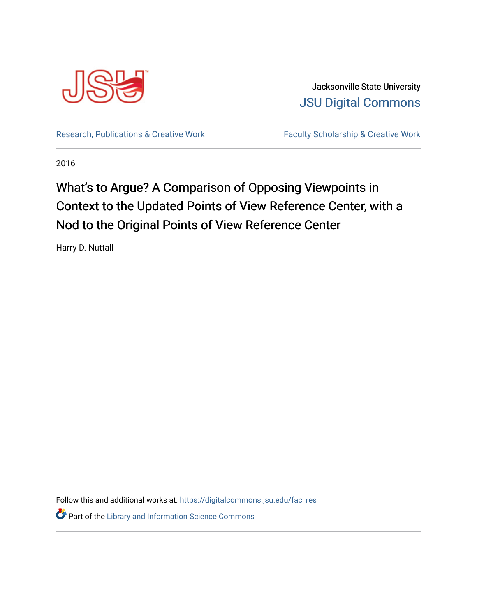

Jacksonville State University [JSU Digital Commons](https://digitalcommons.jsu.edu/) 

[Research, Publications & Creative Work](https://digitalcommons.jsu.edu/fac_res) Faculty Scholarship & Creative Work

2016

# What's to Argue? A Comparison of Opposing Viewpoints in Context to the Updated Points of View Reference Center, with a Nod to the Original Points of View Reference Center

Harry D. Nuttall

Follow this and additional works at: [https://digitalcommons.jsu.edu/fac\\_res](https://digitalcommons.jsu.edu/fac_res?utm_source=digitalcommons.jsu.edu%2Ffac_res%2F11&utm_medium=PDF&utm_campaign=PDFCoverPages)  **Part of the Library and Information Science Commons**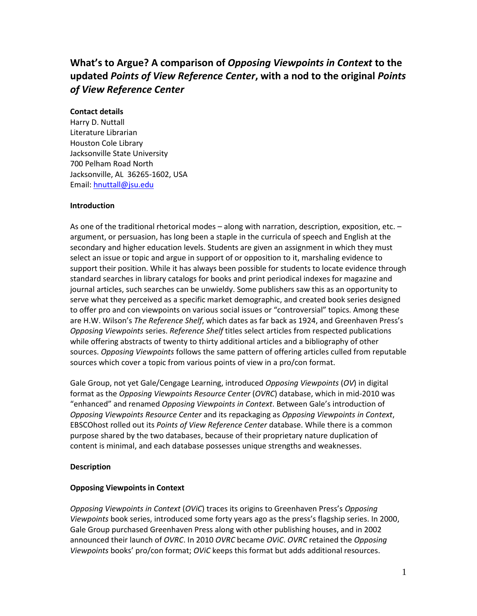# **What's to Argue? A comparison of** *Opposing Viewpoints in Context* **to the updated** *Points of View Reference Center***, with a nod to the original** *Points of View Reference Center*

#### **Contact details**

Harry D. Nuttall Literature Librarian Houston Cole Library Jacksonville State University 700 Pelham Road North Jacksonville, AL 36265-1602, USA Email: [hnuttall@jsu.edu](mailto:hnuttall@jsu.edu)

#### **Introduction**

As one of the traditional rhetorical modes – along with narration, description, exposition, etc. – argument, or persuasion, has long been a staple in the curricula of speech and English at the secondary and higher education levels. Students are given an assignment in which they must select an issue or topic and argue in support of or opposition to it, marshaling evidence to support their position. While it has always been possible for students to locate evidence through standard searches in library catalogs for books and print periodical indexes for magazine and journal articles, such searches can be unwieldy. Some publishers saw this as an opportunity to serve what they perceived as a specific market demographic, and created book series designed to offer pro and con viewpoints on various social issues or "controversial" topics. Among these are H.W. Wilson's *The Reference Shelf*, which dates as far back as 1924, and Greenhaven Press's *Opposing Viewpoints* series. *Reference Shelf* titles select articles from respected publications while offering abstracts of twenty to thirty additional articles and a bibliography of other sources. *Opposing Viewpoints* follows the same pattern of offering articles culled from reputable sources which cover a topic from various points of view in a pro/con format.

Gale Group, not yet Gale/Cengage Learning, introduced *Opposing Viewpoints* (*OV*) in digital format as the *Opposing Viewpoints Resource Center* (*OVRC*) database, which in mid-2010 was "enhanced" and renamed *Opposing Viewpoints in Context*. Between Gale's introduction of *Opposing Viewpoints Resource Center* and its repackaging as *Opposing Viewpoints in Context*, EBSCOhost rolled out its *Points of View Reference Center* database. While there is a common purpose shared by the two databases, because of their proprietary nature duplication of content is minimal, and each database possesses unique strengths and weaknesses.

## **Description**

## **Opposing Viewpoints in Context**

*Opposing Viewpoints in Context* (*OViC*) traces its origins to Greenhaven Press's *Opposing Viewpoints* book series, introduced some forty years ago as the press's flagship series. In 2000, Gale Group purchased Greenhaven Press along with other publishing houses, and in 2002 announced their launch of *OVRC*. In 2010 *OVRC* became *OViC*. *OVRC* retained the *Opposing Viewpoints* books' pro/con format; *OViC* keeps this format but adds additional resources.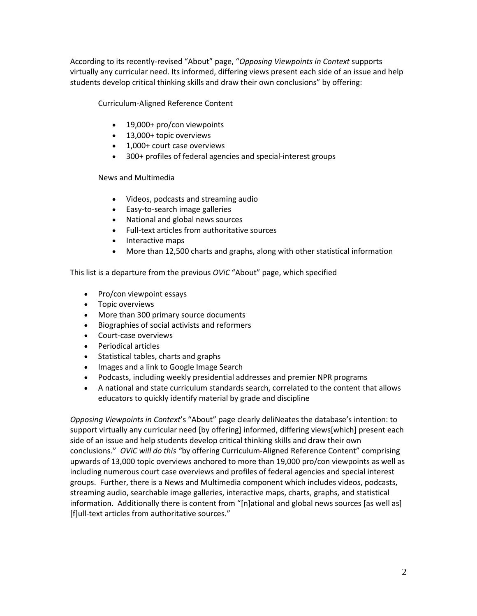According to its recently-revised "About" page, "*Opposing Viewpoints in Context* supports virtually any curricular need. Its informed, differing views present each side of an issue and help students develop critical thinking skills and draw their own conclusions" by offering:

Curriculum-Aligned Reference Content

- 19,000+ pro/con viewpoints
- 13,000+ topic overviews
- 1,000+ court case overviews
- 300+ profiles of federal agencies and special-interest groups

News and Multimedia

- Videos, podcasts and streaming audio
- Easy-to-search image galleries
- National and global news sources
- Full-text articles from authoritative sources
- Interactive maps
- More than 12,500 charts and graphs, along with other statistical information

This list is a departure from the previous *OViC* "About" page, which specified

- Pro/con viewpoint essays
- Topic overviews
- More than 300 primary source documents
- Biographies of social activists and reformers
- Court-case overviews
- Periodical articles
- Statistical tables, charts and graphs
- Images and a link to Google Image Search
- Podcasts, including weekly presidential addresses and premier NPR programs
- A national and state curriculum standards search, correlated to the content that allows educators to quickly identify material by grade and discipline

*Opposing Viewpoints in Context*'s "About" page clearly deliNeates the database's intention: to support virtually any curricular need [by offering] informed, differing views[which] present each side of an issue and help students develop critical thinking skills and draw their own conclusions." *OViC will do this "*by offering Curriculum-Aligned Reference Content" comprising upwards of 13,000 topic overviews anchored to more than 19,000 pro/con viewpoints as well as including numerous court case overviews and profiles of federal agencies and special interest groups. Further, there is a News and Multimedia component which includes videos, podcasts, streaming audio, searchable image galleries, interactive maps, charts, graphs, and statistical information. Additionally there is content from "[n]ational and global news sources [as well as] [f]ull-text articles from authoritative sources."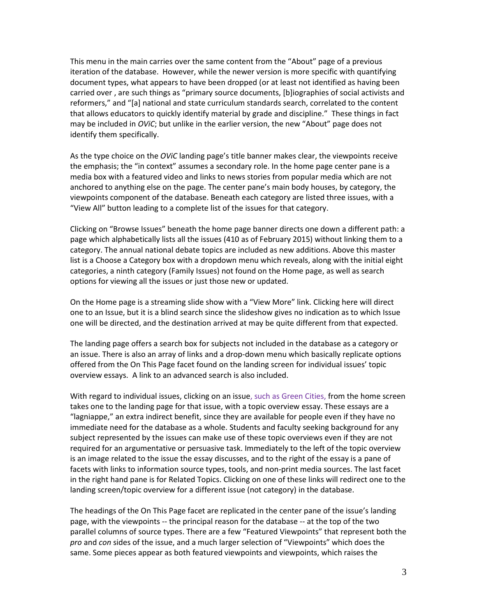This menu in the main carries over the same content from the "About" page of a previous iteration of the database. However, while the newer version is more specific with quantifying document types, what appears to have been dropped (or at least not identified as having been carried over , are such things as "primary source documents, [b]iographies of social activists and reformers," and "[a] national and state curriculum standards search, correlated to the content that allows educators to quickly identify material by grade and discipline." These things in fact may be included in *OViC*; but unlike in the earlier version, the new "About" page does not identify them specifically.

As the type choice on the *OViC* landing page's title banner makes clear, the viewpoints receive the emphasis; the "in context" assumes a secondary role. In the home page center pane is a media box with a featured video and links to news stories from popular media which are not anchored to anything else on the page. The center pane's main body houses, by category, the viewpoints component of the database. Beneath each category are listed three issues, with a "View All" button leading to a complete list of the issues for that category.

Clicking on "Browse Issues" beneath the home page banner directs one down a different path: a page which alphabetically lists all the issues (410 as of February 2015) without linking them to a category. The annual national debate topics are included as new additions. Above this master list is a Choose a Category box with a dropdown menu which reveals, along with the initial eight categories, a ninth category (Family Issues) not found on the Home page, as well as search options for viewing all the issues or just those new or updated.

On the Home page is a streaming slide show with a "View More" link. Clicking here will direct one to an Issue, but it is a blind search since the slideshow gives no indication as to which Issue one will be directed, and the destination arrived at may be quite different from that expected.

The landing page offers a search box for subjects not included in the database as a category or an issue. There is also an array of links and a drop-down menu which basically replicate options offered from the On This Page facet found on the landing screen for individual issues' topic overview essays. A link to an advanced search is also included.

With regard to individual issues, clicking on an issue, such as Green Cities, from the home screen takes one to the landing page for that issue, with a topic overview essay. These essays are a "lagniappe," an extra indirect benefit, since they are available for people even if they have no immediate need for the database as a whole. Students and faculty seeking background for any subject represented by the issues can make use of these topic overviews even if they are not required for an argumentative or persuasive task. Immediately to the left of the topic overview is an image related to the issue the essay discusses, and to the right of the essay is a pane of facets with links to information source types, tools, and non-print media sources. The last facet in the right hand pane is for Related Topics. Clicking on one of these links will redirect one to the landing screen/topic overview for a different issue (not category) in the database.

The headings of the On This Page facet are replicated in the center pane of the issue's landing page, with the viewpoints -- the principal reason for the database -- at the top of the two parallel columns of source types. There are a few "Featured Viewpoints" that represent both the *pro* and *con* sides of the issue, and a much larger selection of "Viewpoints" which does the same. Some pieces appear as both featured viewpoints and viewpoints, which raises the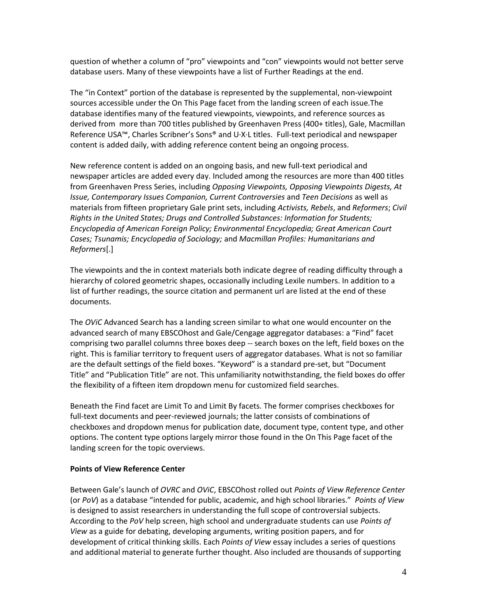question of whether a column of "pro" viewpoints and "con" viewpoints would not better serve database users. Many of these viewpoints have a list of Further Readings at the end.

The "in Context" portion of the database is represented by the supplemental, non-viewpoint sources accessible under the On This Page facet from the landing screen of each issue.The database identifies many of the featured viewpoints, viewpoints, and reference sources as derived from more than 700 titles published by Greenhaven Press (400+ titles), Gale, Macmillan Reference USA™, Charles Scribner's Sons® and U·X·L titles. Full-text periodical and newspaper content is added daily, with adding reference content being an ongoing process.

New reference content is added on an ongoing basis, and new full-text periodical and newspaper articles are added every day. Included among the resources are more than 400 titles from Greenhaven Press Series, including *Opposing Viewpoints, Opposing Viewpoints Digests, At Issue, Contemporary Issues Companion, Current Controversies* and *Teen Decisions* as well as materials from fifteen proprietary Gale print sets, including *Activists, Rebels*, and *Reformers*; *Civil Rights in the United States; Drugs and Controlled Substances: Information for Students; Encyclopedia of American Foreign Policy; Environmental Encyclopedia; Great American Court Cases; Tsunamis; Encyclopedia of Sociology;* and *Macmillan Profiles: Humanitarians and Reformers*[.]

The viewpoints and the in context materials both indicate degree of reading difficulty through a hierarchy of colored geometric shapes, occasionally including Lexile numbers. In addition to a list of further readings, the source citation and permanent url are listed at the end of these documents.

The *OViC* Advanced Search has a landing screen similar to what one would encounter on the advanced search of many EBSCOhost and Gale/Cengage aggregator databases: a "Find" facet comprising two parallel columns three boxes deep -- search boxes on the left, field boxes on the right. This is familiar territory to frequent users of aggregator databases. What is not so familiar are the default settings of the field boxes. "Keyword" is a standard pre-set, but "Document Title" and "Publication Title" are not. This unfamiliarity notwithstanding, the field boxes do offer the flexibility of a fifteen item dropdown menu for customized field searches.

Beneath the Find facet are Limit To and Limit By facets. The former comprises checkboxes for full-text documents and peer-reviewed journals; the latter consists of combinations of checkboxes and dropdown menus for publication date, document type, content type, and other options. The content type options largely mirror those found in the On This Page facet of the landing screen for the topic overviews.

## **Points of View Reference Center**

Between Gale's launch of *OVRC* and *OViC*, EBSCOhost rolled out *Points of View Reference Center* (or *PoV*) as a database "intended for public, academic, and high school libraries." *Points of View* is designed to assist researchers in understanding the full scope of controversial subjects. According to the *PoV* help screen, high school and undergraduate students can use *Points of View* as a guide for debating, developing arguments, writing position papers, and for development of critical thinking skills. Each *Points of View* essay includes a series of questions and additional material to generate further thought. Also included are thousands of supporting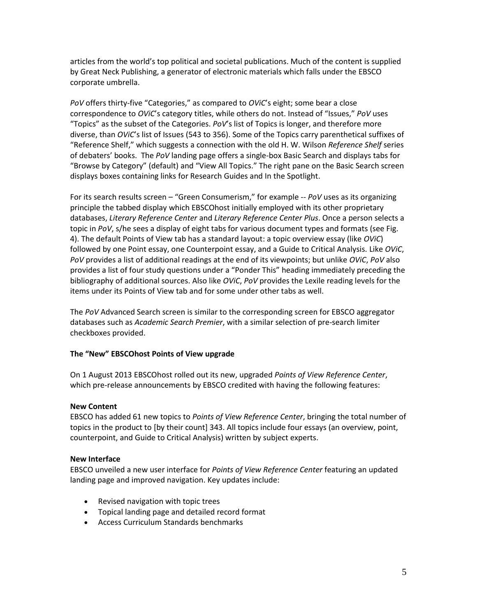articles from the world's top political and societal publications. Much of the content is supplied by Great Neck Publishing, a generator of electronic materials which falls under the EBSCO corporate umbrella.

*PoV* offers thirty-five "Categories," as compared to *OViC*'s eight; some bear a close correspondence to *OViC*'s category titles, while others do not. Instead of "Issues," *PoV* uses "Topics" as the subset of the Categories. *PoV*'s list of Topics is longer, and therefore more diverse, than *OViC*'s list of Issues (543 to 356). Some of the Topics carry parenthetical suffixes of "Reference Shelf," which suggests a connection with the old H. W. Wilson *Reference Shelf* series of debaters' books. The *PoV* landing page offers a single-box Basic Search and displays tabs for "Browse by Category" (default) and "View All Topics." The right pane on the Basic Search screen displays boxes containing links for Research Guides and In the Spotlight.

For its search results screen – "Green Consumerism," for example -- *PoV* uses as its organizing principle the tabbed display which EBSCOhost initially employed with its other proprietary databases, *Literary Reference Center* and *Literary Reference Center Plus*. Once a person selects a topic in *PoV*, s/he sees a display of eight tabs for various document types and formats (see Fig. 4). The default Points of View tab has a standard layout: a topic overview essay (like *OViC*) followed by one Point essay, one Counterpoint essay, and a Guide to Critical Analysis. Like *OViC*, *PoV* provides a list of additional readings at the end of its viewpoints; but unlike *OViC*, *PoV* also provides a list of four study questions under a "Ponder This" heading immediately preceding the bibliography of additional sources. Also like *OViC*, *PoV* provides the Lexile reading levels for the items under its Points of View tab and for some under other tabs as well.

The *PoV* Advanced Search screen is similar to the corresponding screen for EBSCO aggregator databases such as *Academic Search Premier*, with a similar selection of pre-search limiter checkboxes provided.

## **The "New" EBSCOhost Points of View upgrade**

On 1 August 2013 EBSCOhost rolled out its new, upgraded *Points of View Reference Center*, which pre-release announcements by EBSCO credited with having the following features:

## **New Content**

EBSCO has added 61 new topics to *Points of View Reference Center*, bringing the total number of topics in the product to [by their count] 343. All topics include four essays (an overview, point, counterpoint, and Guide to Critical Analysis) written by subject experts.

## **New Interface**

EBSCO unveiled a new user interface for *Points of View Reference Center* featuring an updated landing page and improved navigation. Key updates include:

- Revised navigation with topic trees
- Topical landing page and detailed record format
- Access Curriculum Standards benchmarks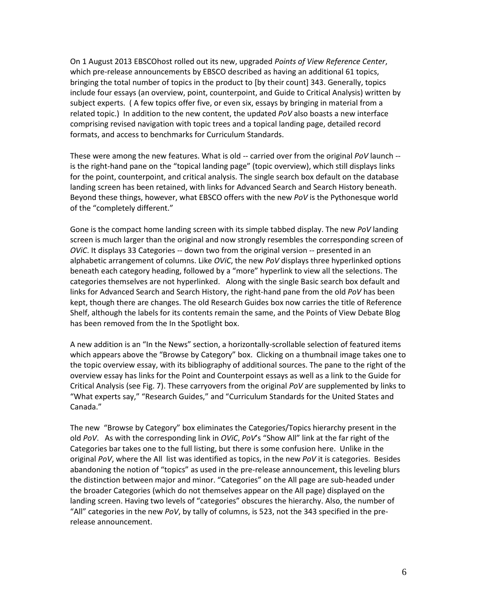On 1 August 2013 EBSCOhost rolled out its new, upgraded *Points of View Reference Center*, which pre-release announcements by EBSCO described as having an additional 61 topics, bringing the total number of topics in the product to [by their count] 343. Generally, topics include four essays (an overview, point, counterpoint, and Guide to Critical Analysis) written by subject experts. ( A few topics offer five, or even six, essays by bringing in material from a related topic.) In addition to the new content, the updated *PoV* also boasts a new interface comprising revised navigation with topic trees and a topical landing page, detailed record formats, and access to benchmarks for Curriculum Standards.

These were among the new features. What is old -- carried over from the original *PoV* launch - is the right-hand pane on the "topical landing page" (topic overview), which still displays links for the point, counterpoint, and critical analysis. The single search box default on the database landing screen has been retained, with links for Advanced Search and Search History beneath. Beyond these things, however, what EBSCO offers with the new *PoV* is the Pythonesque world of the "completely different."

Gone is the compact home landing screen with its simple tabbed display. The new *PoV* landing screen is much larger than the original and now strongly resembles the corresponding screen of *OViC*. It displays 33 Categories -- down two from the original version -- presented in an alphabetic arrangement of columns. Like *OViC*, the new *PoV* displays three hyperlinked options beneath each category heading, followed by a "more" hyperlink to view all the selections. The categories themselves are not hyperlinked. Along with the single Basic search box default and links for Advanced Search and Search History, the right-hand pane from the old *PoV* has been kept, though there are changes. The old Research Guides box now carries the title of Reference Shelf, although the labels for its contents remain the same, and the Points of View Debate Blog has been removed from the In the Spotlight box.

A new addition is an "In the News" section, a horizontally-scrollable selection of featured items which appears above the "Browse by Category" box. Clicking on a thumbnail image takes one to the topic overview essay, with its bibliography of additional sources. The pane to the right of the overview essay has links for the Point and Counterpoint essays as well as a link to the Guide for Critical Analysis (see Fig. 7). These carryovers from the original *PoV* are supplemented by links to "What experts say," "Research Guides," and "Curriculum Standards for the United States and Canada."

The new "Browse by Category" box eliminates the Categories/Topics hierarchy present in the old *PoV*. As with the corresponding link in *OViC*, *PoV*'s "Show All" link at the far right of the Categories bar takes one to the full listing, but there is some confusion here. Unlike in the original *PoV*, where the All list was identified as topics, in the new *PoV* it is categories. Besides abandoning the notion of "topics" as used in the pre-release announcement, this leveling blurs the distinction between major and minor. "Categories" on the All page are sub-headed under the broader Categories (which do not themselves appear on the All page) displayed on the landing screen. Having two levels of "categories" obscures the hierarchy. Also, the number of "All" categories in the new *PoV*, by tally of columns, is 523, not the 343 specified in the prerelease announcement.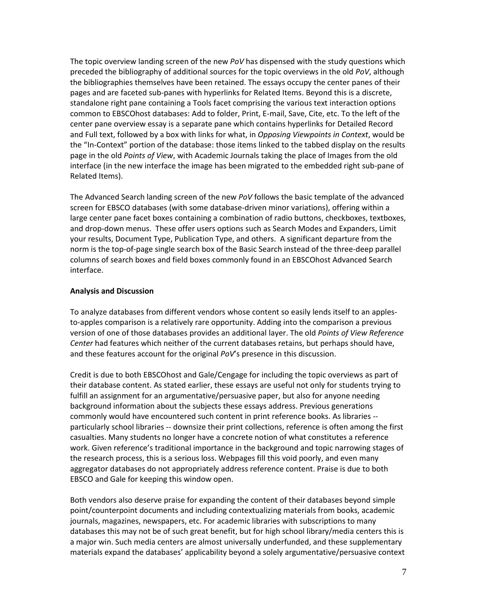The topic overview landing screen of the new *PoV* has dispensed with the study questions which preceded the bibliography of additional sources for the topic overviews in the old *PoV*, although the bibliographies themselves have been retained. The essays occupy the center panes of their pages and are faceted sub-panes with hyperlinks for Related Items. Beyond this is a discrete, standalone right pane containing a Tools facet comprising the various text interaction options common to EBSCOhost databases: Add to folder, Print, E-mail, Save, Cite, etc. To the left of the center pane overview essay is a separate pane which contains hyperlinks for Detailed Record and Full text, followed by a box with links for what, in *Opposing Viewpoints in Context*, would be the "In-Context" portion of the database: those items linked to the tabbed display on the results page in the old *Points of View*, with Academic Journals taking the place of Images from the old interface (in the new interface the image has been migrated to the embedded right sub-pane of Related Items).

The Advanced Search landing screen of the new *PoV* follows the basic template of the advanced screen for EBSCO databases (with some database-driven minor variations), offering within a large center pane facet boxes containing a combination of radio buttons, checkboxes, textboxes, and drop-down menus. These offer users options such as Search Modes and Expanders, Limit your results, Document Type, Publication Type, and others. A significant departure from the norm is the top-of-page single search box of the Basic Search instead of the three-deep parallel columns of search boxes and field boxes commonly found in an EBSCOhost Advanced Search interface.

## **Analysis and Discussion**

To analyze databases from different vendors whose content so easily lends itself to an applesto-apples comparison is a relatively rare opportunity. Adding into the comparison a previous version of one of those databases provides an additional layer. The old *Points of View Reference Center* had features which neither of the current databases retains, but perhaps should have, and these features account for the original *PoV*'s presence in this discussion.

Credit is due to both EBSCOhost and Gale/Cengage for including the topic overviews as part of their database content. As stated earlier, these essays are useful not only for students trying to fulfill an assignment for an argumentative/persuasive paper, but also for anyone needing background information about the subjects these essays address. Previous generations commonly would have encountered such content in print reference books. As libraries - particularly school libraries -- downsize their print collections, reference is often among the first casualties. Many students no longer have a concrete notion of what constitutes a reference work. Given reference's traditional importance in the background and topic narrowing stages of the research process, this is a serious loss. Webpages fill this void poorly, and even many aggregator databases do not appropriately address reference content. Praise is due to both EBSCO and Gale for keeping this window open.

Both vendors also deserve praise for expanding the content of their databases beyond simple point/counterpoint documents and including contextualizing materials from books, academic journals, magazines, newspapers, etc. For academic libraries with subscriptions to many databases this may not be of such great benefit, but for high school library/media centers this is a major win. Such media centers are almost universally underfunded, and these supplementary materials expand the databases' applicability beyond a solely argumentative/persuasive context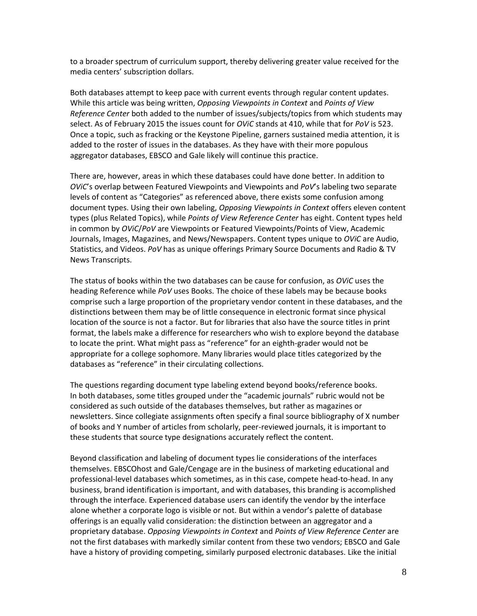to a broader spectrum of curriculum support, thereby delivering greater value received for the media centers' subscription dollars.

Both databases attempt to keep pace with current events through regular content updates. While this article was being written, *Opposing Viewpoints in Context* and *Points of View Reference Center* both added to the number of issues/subjects/topics from which students may select. As of February 2015 the issues count for *OViC* stands at 410, while that for *PoV* is 523. Once a topic, such as fracking or the Keystone Pipeline, garners sustained media attention, it is added to the roster of issues in the databases. As they have with their more populous aggregator databases, EBSCO and Gale likely will continue this practice.

There are, however, areas in which these databases could have done better. In addition to *OViC*'s overlap between Featured Viewpoints and Viewpoints and *PoV*'s labeling two separate levels of content as "Categories" as referenced above, there exists some confusion among document types. Using their own labeling, *Opposing Viewpoints in Context* offers eleven content types (plus Related Topics), while *Points of View Reference Center* has eight. Content types held in common by *OViC*/*PoV* are Viewpoints or Featured Viewpoints/Points of View, Academic Journals, Images, Magazines, and News/Newspapers. Content types unique to *OViC* are Audio, Statistics, and Videos. *PoV* has as unique offerings Primary Source Documents and Radio & TV News Transcripts.

The status of books within the two databases can be cause for confusion, as *OViC* uses the heading Reference while *PoV* uses Books. The choice of these labels may be because books comprise such a large proportion of the proprietary vendor content in these databases, and the distinctions between them may be of little consequence in electronic format since physical location of the source is not a factor. But for libraries that also have the source titles in print format, the labels make a difference for researchers who wish to explore beyond the database to locate the print. What might pass as "reference" for an eighth-grader would not be appropriate for a college sophomore. Many libraries would place titles categorized by the databases as "reference" in their circulating collections.

The questions regarding document type labeling extend beyond books/reference books. In both databases, some titles grouped under the "academic journals" rubric would not be considered as such outside of the databases themselves, but rather as magazines or newsletters. Since collegiate assignments often specify a final source bibliography of X number of books and Y number of articles from scholarly, peer-reviewed journals, it is important to these students that source type designations accurately reflect the content.

Beyond classification and labeling of document types lie considerations of the interfaces themselves. EBSCOhost and Gale/Cengage are in the business of marketing educational and professional-level databases which sometimes, as in this case, compete head-to-head. In any business, brand identification is important, and with databases, this branding is accomplished through the interface. Experienced database users can identify the vendor by the interface alone whether a corporate logo is visible or not. But within a vendor's palette of database offerings is an equally valid consideration: the distinction between an aggregator and a proprietary database. *Opposing Viewpoints in Context* and *Points of View Reference Center* are not the first databases with markedly similar content from these two vendors; EBSCO and Gale have a history of providing competing, similarly purposed electronic databases. Like the initial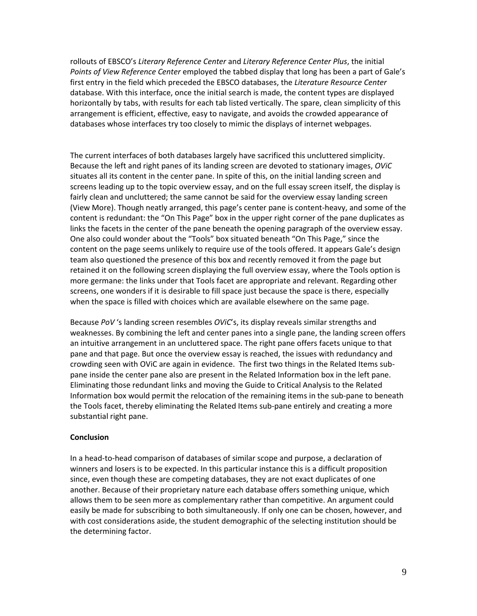rollouts of EBSCO's *Literary Reference Center* and *Literary Reference Center Plus*, the initial *Points of View Reference Center* employed the tabbed display that long has been a part of Gale's first entry in the field which preceded the EBSCO databases, the *Literature Resource Center* database. With this interface, once the initial search is made, the content types are displayed horizontally by tabs, with results for each tab listed vertically. The spare, clean simplicity of this arrangement is efficient, effective, easy to navigate, and avoids the crowded appearance of databases whose interfaces try too closely to mimic the displays of internet webpages.

The current interfaces of both databases largely have sacrificed this uncluttered simplicity. Because the left and right panes of its landing screen are devoted to stationary images, *OViC* situates all its content in the center pane. In spite of this, on the initial landing screen and screens leading up to the topic overview essay, and on the full essay screen itself, the display is fairly clean and uncluttered; the same cannot be said for the overview essay landing screen (View More). Though neatly arranged, this page's center pane is content-heavy, and some of the content is redundant: the "On This Page" box in the upper right corner of the pane duplicates as links the facets in the center of the pane beneath the opening paragraph of the overview essay. One also could wonder about the "Tools" box situated beneath "On This Page," since the content on the page seems unlikely to require use of the tools offered. It appears Gale's design team also questioned the presence of this box and recently removed it from the page but retained it on the following screen displaying the full overview essay, where the Tools option is more germane: the links under that Tools facet are appropriate and relevant. Regarding other screens, one wonders if it is desirable to fill space just because the space is there, especially when the space is filled with choices which are available elsewhere on the same page.

Because *PoV* 's landing screen resembles *OViC*'s, its display reveals similar strengths and weaknesses. By combining the left and center panes into a single pane, the landing screen offers an intuitive arrangement in an uncluttered space. The right pane offers facets unique to that pane and that page. But once the overview essay is reached, the issues with redundancy and crowding seen with OViC are again in evidence. The first two things in the Related Items subpane inside the center pane also are present in the Related Information box in the left pane. Eliminating those redundant links and moving the Guide to Critical Analysis to the Related Information box would permit the relocation of the remaining items in the sub-pane to beneath the Tools facet, thereby eliminating the Related Items sub-pane entirely and creating a more substantial right pane.

## **Conclusion**

In a head-to-head comparison of databases of similar scope and purpose, a declaration of winners and losers is to be expected. In this particular instance this is a difficult proposition since, even though these are competing databases, they are not exact duplicates of one another. Because of their proprietary nature each database offers something unique, which allows them to be seen more as complementary rather than competitive. An argument could easily be made for subscribing to both simultaneously. If only one can be chosen, however, and with cost considerations aside, the student demographic of the selecting institution should be the determining factor.